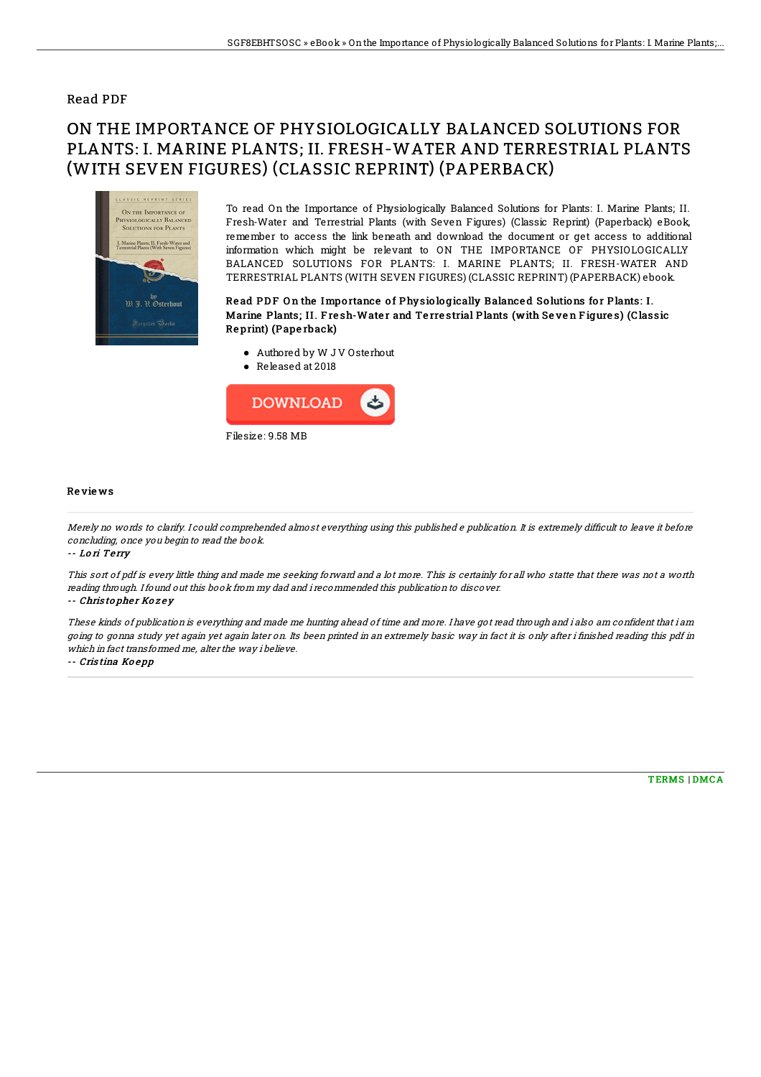## Read PDF

# ON THE IMPORTANCE OF PHYSIOLOGICALLY BALANCED SOLUTIONS FOR PLANTS: I. MARINE PLANTS; II. FRESH-WATER AND TERRESTRIAL PLANTS (WITH SEVEN FIGURES) (CLASSIC REPRINT) (PAPERBACK)



To read On the Importance of Physiologically Balanced Solutions for Plants: I. Marine Plants; II. Fresh-Water and Terrestrial Plants (with Seven Figures) (Classic Reprint) (Paperback) eBook, remember to access the link beneath and download the document or get access to additional information which might be relevant to ON THE IMPORTANCE OF PHYSIOLOGICALLY BALANCED SOLUTIONS FOR PLANTS: I. MARINE PLANTS; II. FRESH-WATER AND TERRESTRIAL PLANTS (WITH SEVEN FIGURES) (CLASSIC REPRINT) (PAPERBACK) ebook.

### Read PDF On the Importance of Physiologically Balanced Solutions for Plants: I. Marine Plants; II. Fresh-Water and Terrestrial Plants (with Seven Figures) (Classic Re print) (Pape rback)

- Authored by W J V Osterhout
- Released at 2018



#### Re vie ws

Merely no words to clarify. I could comprehended almost everything using this published e publication. It is extremely difficult to leave it before concluding, once you begin to read the book.

-- Lo ri Te rry

This sort of pdf is every little thing and made me seeking forward and <sup>a</sup> lot more. This is certainly for all who statte that there was not <sup>a</sup> worth reading through. Ifound out this book from my dad and i recommended this publication to discover.

#### -- Christopher Kozey

These kinds of publication is everything and made me hunting ahead of time and more. I have got read through and i also am confident that i am going to gonna study yet again yet again later on. Its been printed in an extremely basic way in fact it is only after i finished reading this pdf in which in fact transformed me, alter the way i believe.

-- Cris tina Ko <sup>e</sup> pp